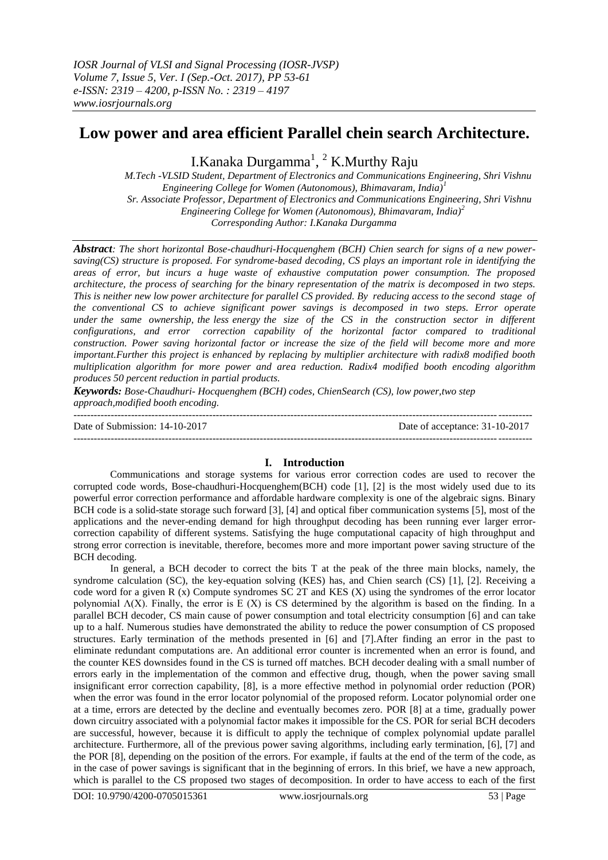# **Low power and area efficient Parallel chein search Architecture.**

I.Kanaka Durgamma<sup>1</sup>, <sup>2</sup> K.Murthy Raju

 *M.Tech -VLSID Student, Department of Electronics and Communications Engineering, Shri Vishnu Engineering College for Women (Autonomous), Bhimavaram, India)<sup>1</sup> Sr. Associate Professor, Department of Electronics and Communications Engineering, Shri Vishnu Engineering College for Women (Autonomous), Bhimavaram, India)<sup>2</sup> Corresponding Author: I.Kanaka Durgamma*

*Abstract: The short horizontal Bose-chaudhuri-Hocquenghem (BCH) Chien search for signs of a new powersaving(CS) structure is proposed. For syndrome-based decoding, CS plays an important role in identifying the areas of error, but incurs a huge waste of exhaustive computation power consumption. The proposed architecture, the process of searching for the binary representation of the matrix is decomposed in two steps. This is neither new low power architecture for parallel CS provided. By reducing access to the second stage of the conventional CS to achieve significant power savings is decomposed in two steps. Error operate*  under the same ownership, the less energy the size of the CS in the construction sector in different *configurations, and error correction capability of the horizontal factor compared to traditional construction. Power saving horizontal factor or increase the size of the field will become more and more important.Further this project is enhanced by replacing by multiplier architecture with radix8 modified booth multiplication algorithm for more power and area reduction. Radix4 modified booth encoding algorithm produces 50 percent reduction in partial products.*

*Keywords: Bose-Chaudhuri- Hocquenghem (BCH) codes, ChienSearch (CS), low power,two step approach,modified booth encoding.*

--------------------------------------------------------------------------------------------------------------------------------------- Date of Submission: 14-10-2017 Date of acceptance: 31-10-2017 ---------------------------------------------------------------------------------------------------------------------------------------

# **I. Introduction**

Communications and storage systems for various error correction codes are used to recover the corrupted code words, Bose-chaudhuri-Hocquenghem(BCH) code [1], [2] is the most widely used due to its powerful error correction performance and affordable hardware complexity is one of the algebraic signs. Binary BCH code is a solid-state storage such forward [3], [4] and optical fiber communication systems [5], most of the applications and the never-ending demand for high throughput decoding has been running ever larger errorcorrection capability of different systems. Satisfying the huge computational capacity of high throughput and strong error correction is inevitable, therefore, becomes more and more important power saving structure of the BCH decoding.

In general, a BCH decoder to correct the bits T at the peak of the three main blocks, namely, the syndrome calculation (SC), the key-equation solving (KES) has, and Chien search (CS) [1], [2]. Receiving a code word for a given R (x) Compute syndromes SC 2T and KES (X) using the syndromes of the error locator polynomial  $\Lambda$ (X). Finally, the error is E (X) is CS determined by the algorithm is based on the finding. In a parallel BCH decoder, CS main cause of power consumption and total electricity consumption [6] and can take up to a half. Numerous studies have demonstrated the ability to reduce the power consumption of CS proposed structures. Early termination of the methods presented in [6] and [7].After finding an error in the past to eliminate redundant computations are. An additional error counter is incremented when an error is found, and the counter KES downsides found in the CS is turned off matches. BCH decoder dealing with a small number of errors early in the implementation of the common and effective drug, though, when the power saving small insignificant error correction capability, [8], is a more effective method in polynomial order reduction (POR) when the error was found in the error locator polynomial of the proposed reform. Locator polynomial order one at a time, errors are detected by the decline and eventually becomes zero. POR [8] at a time, gradually power down circuitry associated with a polynomial factor makes it impossible for the CS. POR for serial BCH decoders are successful, however, because it is difficult to apply the technique of complex polynomial update parallel architecture. Furthermore, all of the previous power saving algorithms, including early termination, [6], [7] and the POR [8], depending on the position of the errors. For example, if faults at the end of the term of the code, as in the case of power savings is significant that in the beginning of errors. In this brief, we have a new approach, which is parallel to the CS proposed two stages of decomposition. In order to have access to each of the first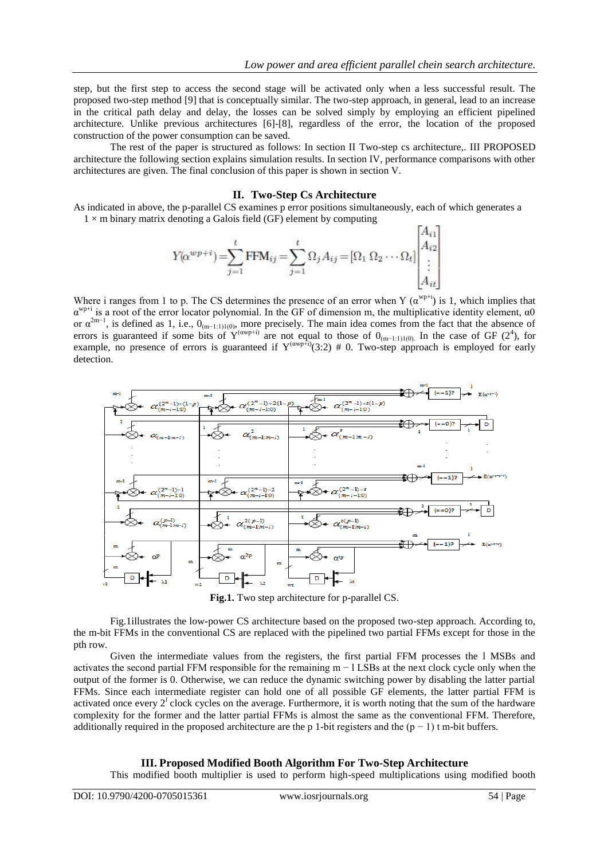step, but the first step to access the second stage will be activated only when a less successful result. The proposed two-step method [9] that is conceptually similar. The two-step approach, in general, lead to an increase in the critical path delay and delay, the losses can be solved simply by employing an efficient pipelined architecture. Unlike previous architectures [6]-[8], regardless of the error, the location of the proposed construction of the power consumption can be saved.

The rest of the paper is structured as follows: In section II Two-step cs architecture,. III PROPOSED architecture the following section explains simulation results. In section IV, performance comparisons with other architectures are given. The final conclusion of this paper is shown in section V.

# **II. Two-Step Cs Architecture**

As indicated in above, the p-parallel CS examines p error positions simultaneously, each of which generates a  $1 \times m$  binary matrix denoting a Galois field (GF) element by computing

$$
Y(\alpha^{wp+i}) = \sum_{j=1}^{t} \text{FFM}_{ij} = \sum_{j=1}^{t} \Omega_j A_{ij} = [\Omega_1 \Omega_2 \cdots \Omega_t] \begin{bmatrix} A_{i1} \\ A_{i2} \\ \vdots \\ A_{it} \end{bmatrix}
$$

Where i ranges from 1 to p. The CS determines the presence of an error when Y  $(\alpha^{wp+i})$  is 1, which implies that  $\alpha^{wp+i}$  is a root of the error locator polynomial. In the GF of dimension m, the multiplicative identity element,  $\alpha$ 0 or  $\alpha^{2m-1}$ , is defined as 1, i.e.,  $0_{(m-1:1)1(0)}$ , more precisely. The main idea comes from the fact that the absence of errors is guaranteed if some bits of  $Y^{(\text{awp}+i)}$  are not equal to those of  $0_{(m-1:1)(0)}$ . In the case of GF (2<sup>4</sup>), for example, no presence of errors is guaranteed if  $Y^{(\text{wnp} \dot{+})}(3:2) \# 0$ . Two-step approach is employed for early detection.



**Fig.1.** Two step architecture for p-parallel CS.

Fig.1illustrates the low-power CS architecture based on the proposed two-step approach. According to, the m-bit FFMs in the conventional CS are replaced with the pipelined two partial FFMs except for those in the pth row.

Given the intermediate values from the registers, the first partial FFM processes the l MSBs and activates the second partial FFM responsible for the remaining m − l LSBs at the next clock cycle only when the output of the former is 0. Otherwise, we can reduce the dynamic switching power by disabling the latter partial FFMs. Since each intermediate register can hold one of all possible GF elements, the latter partial FFM is activated once every  $2^l$  clock cycles on the average. Furthermore, it is worth noting that the sum of the hardware complexity for the former and the latter partial FFMs is almost the same as the conventional FFM. Therefore, additionally required in the proposed architecture are the p 1-bit registers and the  $(p - 1)$  t m-bit buffers.

#### **III. Proposed Modified Booth Algorithm For Two-Step Architecture**

This modified booth multiplier is used to perform high-speed multiplications using modified booth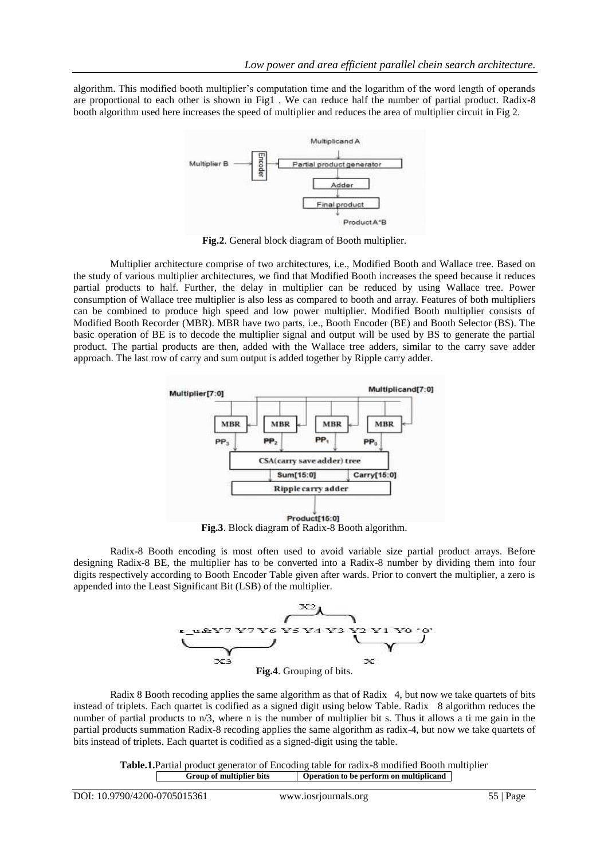algorithm. This modified booth multiplier's computation time and the logarithm of the word length of operands are proportional to each other is shown in Fig1 . We can reduce half the number of partial product. Radix-8 booth algorithm used here increases the speed of multiplier and reduces the area of multiplier circuit in Fig 2.



**Fig.2**. General block diagram of Booth multiplier.

Multiplier architecture comprise of two architectures, i.e., Modified Booth and Wallace tree. Based on the study of various multiplier architectures, we find that Modified Booth increases the speed because it reduces partial products to half. Further, the delay in multiplier can be reduced by using Wallace tree. Power consumption of Wallace tree multiplier is also less as compared to booth and array. Features of both multipliers can be combined to produce high speed and low power multiplier. Modified Booth multiplier consists of Modified Booth Recorder (MBR). MBR have two parts, i.e., Booth Encoder (BE) and Booth Selector (BS). The basic operation of BE is to decode the multiplier signal and output will be used by BS to generate the partial product. The partial products are then, added with the Wallace tree adders, similar to the carry save adder approach. The last row of carry and sum output is added together by Ripple carry adder.



Radix-8 Booth encoding is most often used to avoid variable size partial product arrays. Before designing Radix-8 BE, the multiplier has to be converted into a Radix-8 number by dividing them into four digits respectively according to Booth Encoder Table given after wards. Prior to convert the multiplier, a zero is appended into the Least Significant Bit (LSB) of the multiplier.



Radix 8 Booth recoding applies the same algorithm as that of Radix 4, but now we take quartets of bits instead of triplets. Each quartet is codified as a signed digit using below Table. Radix 8 algorithm reduces the number of partial products to n/3, where n is the number of multiplier bit s. Thus it allows a ti me gain in the partial products summation Radix-8 recoding applies the same algorithm as radix-4, but now we take quartets of bits instead of triplets. Each quartet is codified as a signed-digit using the table.

> **Table.1.**Partial product generator of Encoding table for radix-8 modified Booth multiplier **Group of multiplier bits Operation to be perform on multiplicand**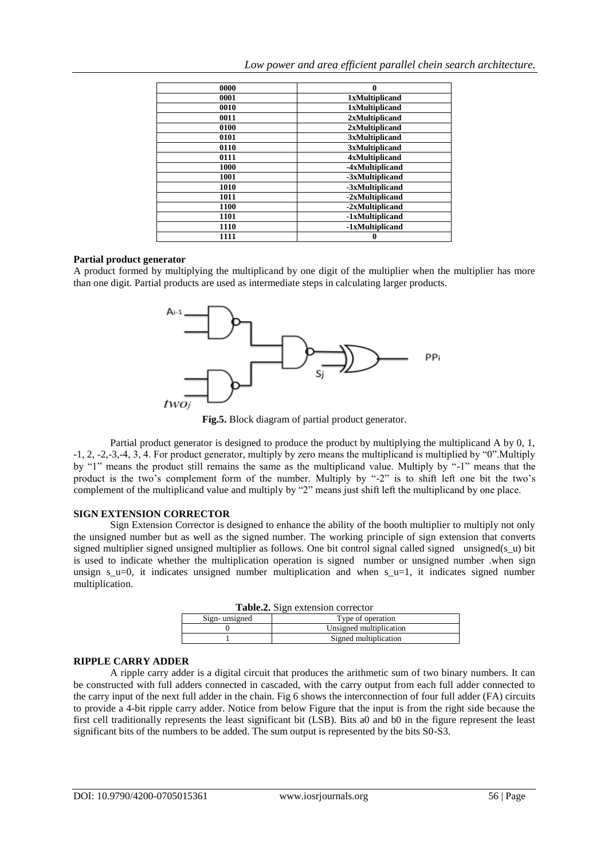| 0000 | 0                     |
|------|-----------------------|
| 0001 | <b>1xMultiplicand</b> |
| 0010 | <b>1xMultiplicand</b> |
| 0011 | 2xMultiplicand        |
| 0100 | 2xMultiplicand        |
| 0101 | 3xMultiplicand        |
| 0110 | 3xMultiplicand        |
| 0111 | <b>4xMultiplicand</b> |
| 1000 | -4xMultiplicand       |
| 1001 | -3xMultiplicand       |
| 1010 | -3xMultiplicand       |
| 1011 | -2xMultiplicand       |
| 1100 | -2xMultiplicand       |
| 1101 | -1xMultiplicand       |
| 1110 | -1xMultiplicand       |
| 1111 |                       |

## **Partial product generator**

A product formed by multiplying the multiplicand by one digit of the multiplier when the multiplier has more than one digit. Partial products are used as intermediate steps in calculating larger products.



**Fig.5.** Block diagram of partial product generator.

Partial product generator is designed to produce the product by multiplying the multiplicand A by 0, 1, -1, 2, -2,-3,-4, 3, 4. For product generator, multiply by zero means the multiplicand is multiplied by "0".Multiply by "1" means the product still remains the same as the multiplicand value. Multiply by "-1" means that the product is the two's complement form of the number. Multiply by "-2" is to shift left one bit the two's complement of the multiplicand value and multiply by "2" means just shift left the multiplicand by one place.

#### **SIGN EXTENSION CORRECTOR**

Sign Extension Corrector is designed to enhance the ability of the booth multiplier to multiply not only the unsigned number but as well as the signed number. The working principle of sign extension that converts signed multiplier signed unsigned multiplier as follows. One bit control signal called signed unsigned(s\_u) bit is used to indicate whether the multiplication operation is signed number or unsigned number .when sign unsign  $s_u=0$ , it indicates unsigned number multiplication and when  $s_u=1$ , it indicates signed number multiplication.

| <b>Table.2.</b> Sign extension corrector |                         |  |  |
|------------------------------------------|-------------------------|--|--|
| Sign-unsigned                            | Type of operation       |  |  |
|                                          | Unsigned multiplication |  |  |
|                                          | Signed multiplication   |  |  |

## **RIPPLE CARRY ADDER**

A ripple carry adder is a digital circuit that produces the arithmetic sum of two binary numbers. It can be constructed with full adders connected in cascaded, with the carry output from each full adder connected to the carry input of the next full adder in the chain. Fig 6 shows the interconnection of four full adder (FA) circuits to provide a 4-bit ripple carry adder. Notice from below Figure that the input is from the right side because the first cell traditionally represents the least significant bit (LSB). Bits a0 and b0 in the figure represent the least significant bits of the numbers to be added. The sum output is represented by the bits S0-S3.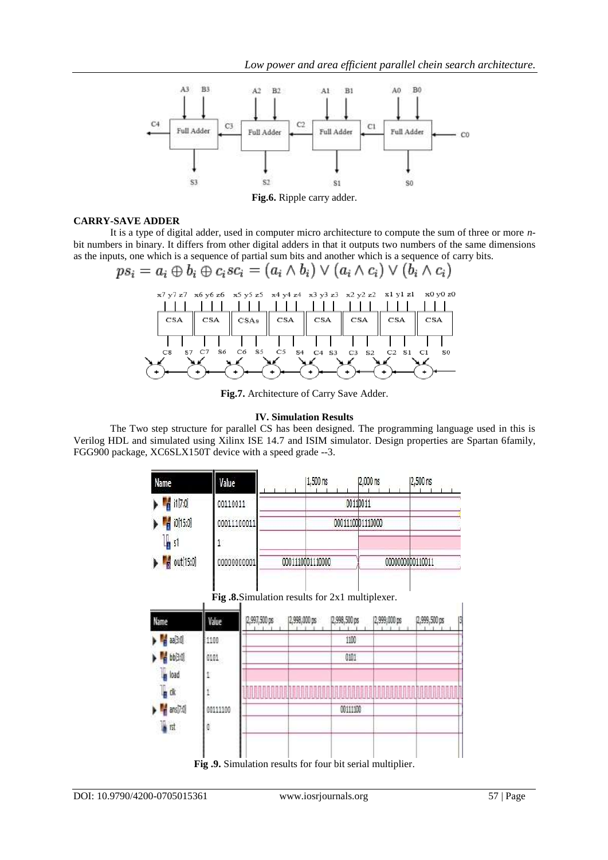

## **CARRY-SAVE ADDER**

It is a type of digital adder, used in computer micro architecture to compute the sum of three or more *n*bit numbers in [binary.](https://en.wikipedia.org/wiki/Binary_numeral_system) It differs from other digital adders in that it outputs two numbers of the same dimensions as the inputs, one which is a sequence of partial sum bits and another which is a sequence of [carry](https://en.wikipedia.org/wiki/Carry_%28arithmetic%29) bits.

$$
ps_i = a_i \oplus b_i \oplus c_i sc_i = (a_i \wedge b_i) \vee (a_i \wedge c_i) \vee (b_i \wedge c_i)
$$



**Fig.7.** Architecture of Carry Save Adder.

## **IV. Simulation Results**

The Two step structure for parallel CS has been designed. The programming language used in this is Verilog HDL and simulated using Xilinx ISE 14.7 and ISIM simulator. Design properties are Spartan 6family, FGG900 package, XC6SLX150T device with a speed grade --3.

| Name                                         | Value       | 1,500 ns         | 2,000 ns         | 2,500 ns         |
|----------------------------------------------|-------------|------------------|------------------|------------------|
| $\blacktriangleright$ $\blacksquare$ i1[7:0] | 00110011    |                  | 00110011         |                  |
| $\triangleright$ $\frac{1}{11}$ i0[15:0]     | 00011100011 |                  | 0001110001110000 |                  |
| $\mathbb{I}_{\mathbb{R}}$ s1                 |             |                  |                  |                  |
| $\bullet$ out[15:0]                          | 00000000001 | 0001110001110000 |                  | 0000000000110011 |



ı I **Fig .8.**Simulation results for 2x1 multiplexer.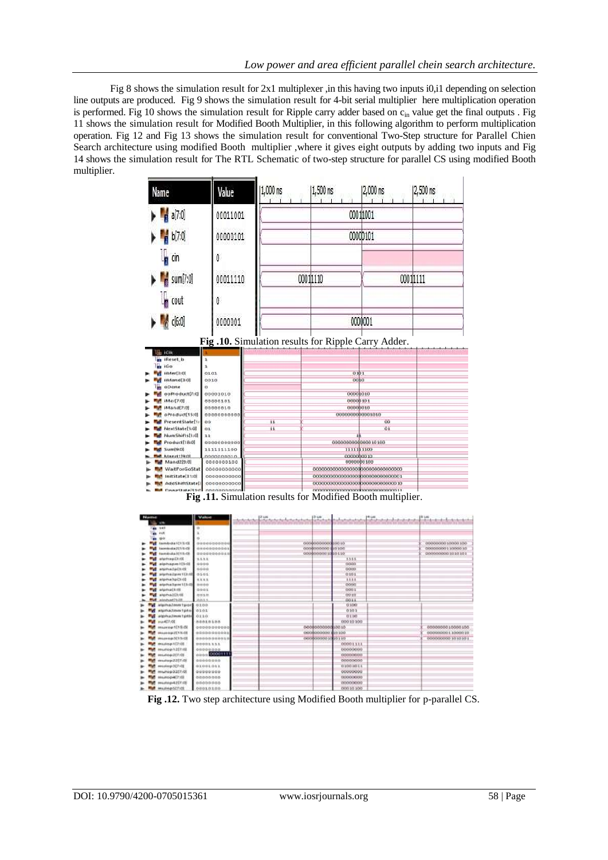Fig 8 shows the simulation result for 2x1 multiplexer ,in this having two inputs i0,i1 depending on selection line outputs are produced. Fig 9 shows the simulation result for 4-bit serial multiplier here multiplication operation is performed. Fig 10 shows the simulation result for Ripple carry adder based on c<sub>in</sub> value get the final outputs . Fig 11 shows the simulation result for Modified Booth Multiplier, in this following algorithm to perform multiplication operation. Fig 12 and Fig 13 shows the simulation result for conventional Two-Step structure for Parallel Chien Search architecture using modified Booth multiplier ,where it gives eight outputs by adding two inputs and Fig 14 shows the simulation result for The RTL Schematic of two-step structure for parallel CS using modified Booth multiplier.

| a[7:0]<br>00011001<br>00011001<br>00000101<br>b[7:0]<br>00000101<br>cin<br>O<br>00011111<br>$m$ sum[7:0]<br>00011110<br>00011110<br>cout<br>Ω<br>0000001<br>c[6:0]<br>0000001<br>Fig.10. Simulation results for Ripple Carry Adder.<br><b>B</b> ICIK<br><b>Reset</b> <sub>b</sub><br>64 100<br>0101<br>0101<br>iiMer[3:0]<br>0010<br>iiMand[3:0]<br>0010<br>oDone<br>à<br>00001010<br>eeProduct(7(0)<br>00001010<br>00000101<br>iMer[7i0]<br>00000101<br>00000010<br>iMand[7:0]<br>00000010<br>oProduct[15:0]<br>00000000000<br>0000000000001010<br>PresentState[1<br>11<br>00<br><b>OO</b><br>11<br>01<br>NextState[1:0]<br>O <sub>3</sub><br>NumShifts[t:0]<br>11<br>00000000000000 10100<br>Product[18:0]<br>00000000000<br>Sum[9:0]<br>1111111100<br>1111111100<br>Manettien<br>0000000010<br>nconnonon<br>0000000100<br>0000000100<br>Mand2[9:0]<br>WaitForGoStat<br>00000000000<br>000000000000000000000000000000000<br>InitState[11:0]<br>0000000000<br>000000000000000000000000000000000<br>AddShiftState[<br>00000000000<br>00000000000000000000000000000000000<br>nnnnnnnnnnnnnnnnnnnnnnnnnnnn t<br>Fig.11. Simulation results for Modified Booth multiplier. | Name | Value | 1,000 ns | 1,500 ns | 2,000 ns | 2,500 ns |
|-------------------------------------------------------------------------------------------------------------------------------------------------------------------------------------------------------------------------------------------------------------------------------------------------------------------------------------------------------------------------------------------------------------------------------------------------------------------------------------------------------------------------------------------------------------------------------------------------------------------------------------------------------------------------------------------------------------------------------------------------------------------------------------------------------------------------------------------------------------------------------------------------------------------------------------------------------------------------------------------------------------------------------------------------------------------------------------------------------------------------------------------------------------------------|------|-------|----------|----------|----------|----------|
|                                                                                                                                                                                                                                                                                                                                                                                                                                                                                                                                                                                                                                                                                                                                                                                                                                                                                                                                                                                                                                                                                                                                                                         |      |       |          |          |          |          |
|                                                                                                                                                                                                                                                                                                                                                                                                                                                                                                                                                                                                                                                                                                                                                                                                                                                                                                                                                                                                                                                                                                                                                                         |      |       |          |          |          |          |
|                                                                                                                                                                                                                                                                                                                                                                                                                                                                                                                                                                                                                                                                                                                                                                                                                                                                                                                                                                                                                                                                                                                                                                         |      |       |          |          |          |          |
|                                                                                                                                                                                                                                                                                                                                                                                                                                                                                                                                                                                                                                                                                                                                                                                                                                                                                                                                                                                                                                                                                                                                                                         |      |       |          |          |          |          |
|                                                                                                                                                                                                                                                                                                                                                                                                                                                                                                                                                                                                                                                                                                                                                                                                                                                                                                                                                                                                                                                                                                                                                                         |      |       |          |          |          |          |
|                                                                                                                                                                                                                                                                                                                                                                                                                                                                                                                                                                                                                                                                                                                                                                                                                                                                                                                                                                                                                                                                                                                                                                         |      |       |          |          |          |          |
|                                                                                                                                                                                                                                                                                                                                                                                                                                                                                                                                                                                                                                                                                                                                                                                                                                                                                                                                                                                                                                                                                                                                                                         |      |       |          |          |          |          |
|                                                                                                                                                                                                                                                                                                                                                                                                                                                                                                                                                                                                                                                                                                                                                                                                                                                                                                                                                                                                                                                                                                                                                                         |      |       |          |          |          |          |
|                                                                                                                                                                                                                                                                                                                                                                                                                                                                                                                                                                                                                                                                                                                                                                                                                                                                                                                                                                                                                                                                                                                                                                         |      |       |          |          |          |          |
|                                                                                                                                                                                                                                                                                                                                                                                                                                                                                                                                                                                                                                                                                                                                                                                                                                                                                                                                                                                                                                                                                                                                                                         |      |       |          |          |          |          |
|                                                                                                                                                                                                                                                                                                                                                                                                                                                                                                                                                                                                                                                                                                                                                                                                                                                                                                                                                                                                                                                                                                                                                                         |      |       |          |          |          |          |
|                                                                                                                                                                                                                                                                                                                                                                                                                                                                                                                                                                                                                                                                                                                                                                                                                                                                                                                                                                                                                                                                                                                                                                         |      |       |          |          |          |          |
|                                                                                                                                                                                                                                                                                                                                                                                                                                                                                                                                                                                                                                                                                                                                                                                                                                                                                                                                                                                                                                                                                                                                                                         |      |       |          |          |          |          |
|                                                                                                                                                                                                                                                                                                                                                                                                                                                                                                                                                                                                                                                                                                                                                                                                                                                                                                                                                                                                                                                                                                                                                                         |      |       |          |          |          |          |
|                                                                                                                                                                                                                                                                                                                                                                                                                                                                                                                                                                                                                                                                                                                                                                                                                                                                                                                                                                                                                                                                                                                                                                         |      |       |          |          |          |          |
|                                                                                                                                                                                                                                                                                                                                                                                                                                                                                                                                                                                                                                                                                                                                                                                                                                                                                                                                                                                                                                                                                                                                                                         |      |       |          |          |          |          |
| Value                                                                                                                                                                                                                                                                                                                                                                                                                                                                                                                                                                                                                                                                                                                                                                                                                                                                                                                                                                                                                                                                                                                                                                   |      |       |          |          |          |          |

| <b>Ille ette</b>         |                    | ---------<br>the property and the property of the control of the control of the control of the control of the con- |                     | 我们的学生就是我们的学生的学生,我们的学生的学生,我们的学生的学生,我们的学生,我们的学生,我们的学生,我们的学生,我们的学生,我们的学生,我们的学生,我们的学 |                      |
|--------------------------|--------------------|--------------------------------------------------------------------------------------------------------------------|---------------------|----------------------------------------------------------------------------------|----------------------|
| <b>MA 147</b>            |                    |                                                                                                                    |                     |                                                                                  |                      |
| <b>We ret</b>            |                    |                                                                                                                    |                     |                                                                                  |                      |
| 90<br>œ                  |                    |                                                                                                                    |                     |                                                                                  |                      |
| <b>Bambulu III 5:00</b>  | 50005555550        |                                                                                                                    | 00000000000010010   |                                                                                  | 00000000 10000 100   |
| hamissia2110-08          | 00000000001        |                                                                                                                    | 0008000000 810100   |                                                                                  | 00000000011000010    |
| <b>Nembula II15-08</b>   | poogogoogka        |                                                                                                                    | 000000000101010     |                                                                                  | 0000000001010101     |
| atertrapE0.0E            | 1111               |                                                                                                                    | 1155                |                                                                                  |                      |
| alphape (D/S)            | 9999               |                                                                                                                    | $-0.0000$           |                                                                                  |                      |
| aternazietz.cl           | 0.000              |                                                                                                                    | 0000                |                                                                                  |                      |
| arierhauligher 11310     | 0101               |                                                                                                                    | 0101                |                                                                                  |                      |
| sipha5pl3:00             | 1111               |                                                                                                                    | 1111                |                                                                                  |                      |
| atphalam tildi noon      |                    |                                                                                                                    | poon:               |                                                                                  |                      |
| elemeticate              | 000k               |                                                                                                                    | 0001                |                                                                                  |                      |
| alphaldicil              | 2011.27            |                                                                                                                    | 0010                |                                                                                  |                      |
| <b>Distribution M</b>    | $m+4$              |                                                                                                                    | 0011                |                                                                                  |                      |
| startainm tags 6100<br>w |                    |                                                                                                                    | 0100                |                                                                                  |                      |
| alumazamnipto 0101       |                    |                                                                                                                    | 0101                |                                                                                  |                      |
| algonalmentpille 0110    |                    |                                                                                                                    | 0110                |                                                                                  |                      |
| su4(7:00)<br>м           | <b>MODIOLOG</b>    |                                                                                                                    | 00010100            |                                                                                  |                      |
| Rh 11 government         | 00000000000        |                                                                                                                    | 000000000000010010  |                                                                                  | 0000000010000100     |
| <b>MARGARETS OR</b>      | 00000000008        |                                                                                                                    | 00000000000 810 100 |                                                                                  | 00000000313000010    |
| Mission (a 321 Scott     | 00000000018        |                                                                                                                    | 0008000001010110    |                                                                                  | DOGGGGGGG 10 10 10 1 |
| museop 177-08            | <b>DOODS \$33.</b> |                                                                                                                    | 00001111            |                                                                                  |                      |
| <b>Meutophälmet</b>      | 00000000           |                                                                                                                    | 00000000            |                                                                                  |                      |
| HILLING & ZEP/OB         | OUGO COOPER        |                                                                                                                    | 00000000            |                                                                                  |                      |
| multip22(7.0)            | 0000000            |                                                                                                                    | 00000000            |                                                                                  |                      |
| email@p3(21-0)           | 01001011           |                                                                                                                    | 0.000 10 1.1        |                                                                                  |                      |
| <b>MILAGO 3257-01</b>    | 00000000           |                                                                                                                    | 00000000            |                                                                                  |                      |
| 89/23 Property and       | 00000000           |                                                                                                                    | 00000000            |                                                                                  |                      |
| <b>Middle AZTIO</b>      | 8000000            |                                                                                                                    | (MODODOO)           |                                                                                  |                      |
| Mullep5[7:08             | 0010100            |                                                                                                                    | 00010100            |                                                                                  |                      |

 **Fig .12.** Two step architecture using Modified Booth multiplier for p-parallel CS.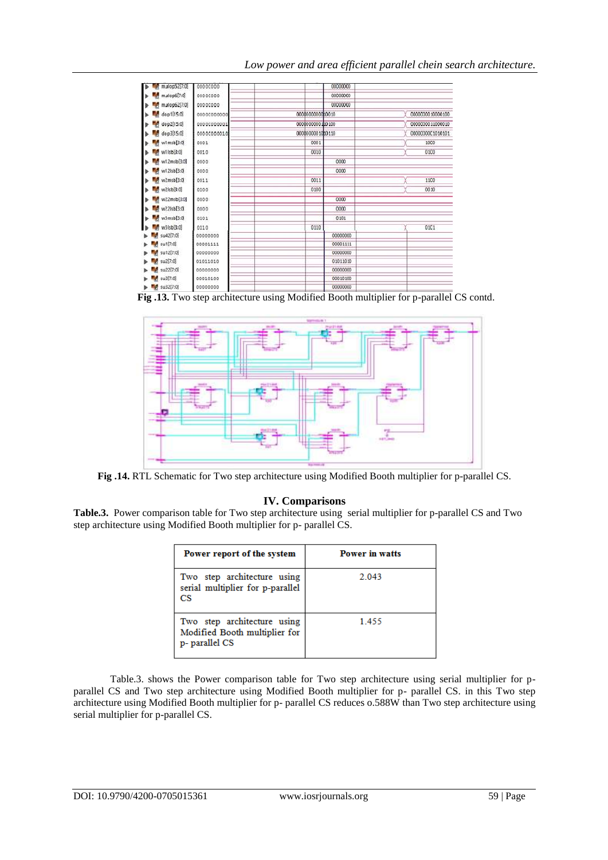# *Low power and area efficient parallel chein search architecture.*

| mulop5217:01         | 00000000    | 00000000         |                  |
|----------------------|-------------|------------------|------------------|
| mJlop6[7:0]          | 00000000    | 00000000         |                  |
| mulop62[7:0]         | 00000000    | 00000000         |                  |
| dop1[15:0]           | 00000000000 | 0000000000000000 | 0000030010000100 |
| dop2[15:0]           | 00000000001 | 0000000000100100 | 0000000011000010 |
| dop3[15:0]           | 00000000010 | 0000000001000110 | 00000000C1010101 |
| w1msb[3:0]           | 0001        | 0001             | 1000             |
| w1Isb <sub>3:0</sub> | 0010        | 0010             | 0100             |
| w12msb[3:0]          | 0000        | 0000             |                  |
| w12Isb[3:0]          | 0000        | 0000             |                  |
| w2msb[3:0]           | 0011        | 0011             | 1100             |
| w2isb3:0)            | 0100        | 0100             | 0010             |
| w22msb[3:0]          | 0000        | 0000             |                  |
| w22Isb[3:0]          | 0000        | 0000             |                  |
| w3msb[3:0            | 0101        | 0101             |                  |
| w3IsbB:0             | 0110        | 0110             | 01C1             |
| su42[7:0]            | 00000000    | 00000000         |                  |
| 5u1[7:0]             | 00001111    | 00001111         |                  |
| su12[7:0]            | 00000000    | 00000000         |                  |
| \$u2[7:0]            | 01011010    | 01011010         |                  |
| su22[7:0]            | 00000000    | 00000000         |                  |
| su3[7:0]             | 00010100    | 00010100         |                  |
| <b>M</b> su32(7:0)   | 00000000    | 00000000         |                  |

 **Fig .13.** Two step architecture using Modified Booth multiplier for p-parallel CS contd.



**Fig .14.** RTL Schematic for Two step architecture using Modified Booth multiplier for p-parallel CS.

## **IV. Comparisons**

**Table.3.** Power comparison table for Two step architecture using serial multiplier for p-parallel CS and Two step architecture using Modified Booth multiplier for p- parallel CS.

| Power report of the system                                                    | <b>Power in watts</b> |
|-------------------------------------------------------------------------------|-----------------------|
| Two step architecture using<br>serial multiplier for p-parallel<br>СS         | 2.043                 |
| Two step architecture using<br>Modified Booth multiplier for<br>p-parallel CS | 1455                  |

Table.3. shows the Power comparison table for Two step architecture using serial multiplier for pparallel CS and Two step architecture using Modified Booth multiplier for p- parallel CS. in this Two step architecture using Modified Booth multiplier for p- parallel CS reduces o.588W than Two step architecture using serial multiplier for p-parallel CS.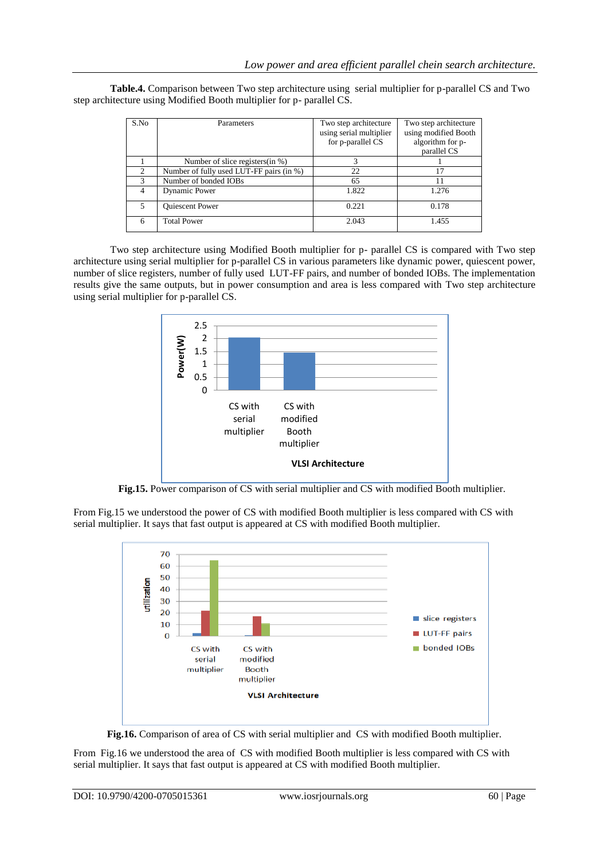**Table.4.** Comparison between Two step architecture using serial multiplier for p-parallel CS and Two step architecture using Modified Booth multiplier for p- parallel CS.

| S.No           | Parameters                               | Two step architecture<br>using serial multiplier | Two step architecture<br>using modified Booth |
|----------------|------------------------------------------|--------------------------------------------------|-----------------------------------------------|
|                |                                          | for p-parallel CS                                | algorithm for p-                              |
|                |                                          |                                                  | parallel CS                                   |
|                | Number of slice registers (in %)         | 3                                                |                                               |
| $\mathcal{D}$  | Number of fully used LUT-FF pairs (in %) | 22                                               | 17                                            |
| $\mathcal{R}$  | Number of bonded IOBs                    | 65                                               | 11                                            |
| 4              | Dynamic Power                            | 1.822                                            | 1.276                                         |
| $\overline{5}$ | <b>Ouiescent Power</b>                   | 0.221                                            | 0.178                                         |
| 6              | <b>Total Power</b>                       | 2.043                                            | 1.455                                         |

Two step architecture using Modified Booth multiplier for p- parallel CS is compared with Two step architecture using serial multiplier for p-parallel CS in various parameters like dynamic power, quiescent power, number of slice registers, number of fully used LUT-FF pairs, and number of bonded IOBs. The implementation results give the same outputs, but in power consumption and area is less compared with Two step architecture using serial multiplier for p-parallel CS.



**Fig.15.** Power comparison of CS with serial multiplier and CS with modified Booth multiplier.

From Fig.15 we understood the power of CS with modified Booth multiplier is less compared with CS with serial multiplier. It says that fast output is appeared at CS with modified Booth multiplier.



**Fig.16.** Comparison of area of CS with serial multiplier and CS with modified Booth multiplier.

From Fig.16 we understood the area of CS with modified Booth multiplier is less compared with CS with serial multiplier. It says that fast output is appeared at CS with modified Booth multiplier.